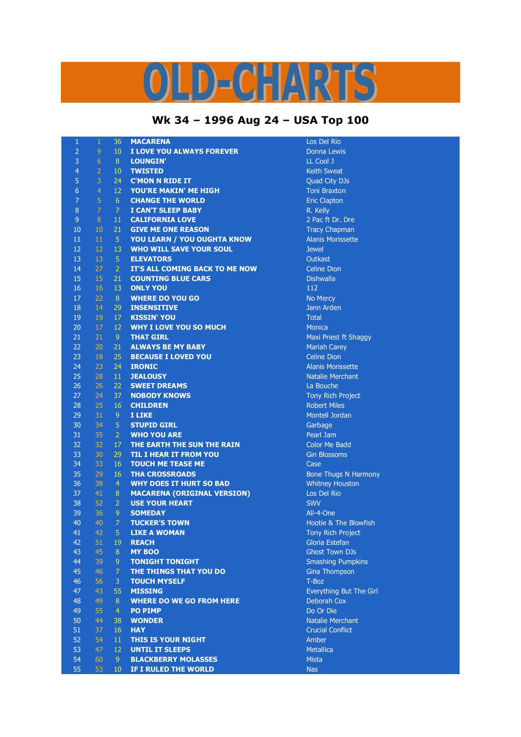## D-CHARTS

## **Wk 34 – 1996 Aug 24 – USA Top 100**

| $\mathbf{1}$   | $\mathbf{1}$     | 36                               | <b>MACARENA</b>                                           | Los Del Rio                           |
|----------------|------------------|----------------------------------|-----------------------------------------------------------|---------------------------------------|
| $\overline{2}$ | $\mathsf 9$      | 10 <sup>°</sup>                  | I LOVE YOU ALWAYS FOREVER                                 | Donna Lewis                           |
| 3              | $6\phantom{1}$   | 8 <sup>°</sup>                   | <b>LOUNGIN'</b>                                           | LL Cool J                             |
| $\overline{4}$ | $\overline{2}$   | 10 <sup>°</sup>                  | <b>TWISTED</b>                                            | <b>Keith Sweat</b>                    |
| 5              | 3                | 24                               | <b>C'MON N RIDE IT</b>                                    | Quad City DJs                         |
| 6              | $\overline{4}$   | 12                               | YOU'RE MAKIN' ME HIGH                                     | <b>Toni Braxton</b>                   |
| $\overline{7}$ | $\overline{5}$   | 6                                | <b>CHANGE THE WORLD</b>                                   | <b>Eric Clapton</b>                   |
| 8              | $\overline{7}$   | 7                                | <b>I CAN'T SLEEP BABY</b>                                 | R. Kelly                              |
| $\overline{9}$ | $\boldsymbol{8}$ | 11                               | <b>CALIFORNIA LOVE</b>                                    | 2 Pac ft Dr. Dre                      |
| 10             | 10               | 21                               | <b>GIVE ME ONE REASON</b>                                 | <b>Tracy Chapman</b>                  |
| 11             | 11               | $\sqrt{5}$                       | <b>YOU LEARN / YOU OUGHTA KNOW</b>                        | <b>Alanis Morissette</b>              |
| 12             | 12               | 13                               | <b>WHO WILL SAVE YOUR SOUL</b>                            | <b>Jewel</b>                          |
| 13             | 13               | $\sqrt{5}$                       | <b>ELEVATORS</b>                                          | Outkast                               |
| 14             | 27               | $\overline{2}$                   | IT'S ALL COMING BACK TO ME NOW                            | <b>Celine Dion</b>                    |
| 15             | 15               | 21                               | <b>COUNTING BLUE CARS</b>                                 | <b>Dishwalla</b>                      |
| 16             | 16               | 13                               | <b>ONLY YOU</b>                                           | 112                                   |
| 17             | 22               | 8                                | <b>WHERE DO YOU GO</b>                                    | No Mercy                              |
| 18             | 14               | 29                               | <b>INSENSITIVE</b>                                        | Jann Arden                            |
| 19             | 19               | 17                               | <b>KISSIN' YOU</b>                                        | <b>Total</b>                          |
| 20             | 17               | 12                               | <b>WHY I LOVE YOU SO MUCH</b>                             | <b>Monica</b>                         |
| 21             | 21               | 9 <sup>°</sup>                   | <b>THAT GIRL</b>                                          | Maxi Priest ft Shaggy                 |
| 22             | 20               | 21                               | <b>ALWAYS BE MY BABY</b>                                  | <b>Mariah Carey</b>                   |
| 23             | 18               | 25                               | <b>BECAUSE I LOVED YOU</b>                                | <b>Celine Dion</b>                    |
| 24             | 23               | 24                               | <b>IRONIC</b>                                             | <b>Alanis Morissette</b>              |
| 25             | 28               | 11                               | <b>JEALOUSY</b>                                           | <b>Natalie Merchant</b>               |
| 26             | 26               | 22                               | <b>SWEET DREAMS</b>                                       | La Bouche                             |
| 27             | 24               | 37                               | <b>NOBODY KNOWS</b>                                       |                                       |
| 28             | 25               |                                  |                                                           | Tony Rich Project                     |
|                |                  | 16                               | <b>CHILDREN</b>                                           | <b>Robert Miles</b><br>Montell Jordan |
| 29<br>30       | 31<br>34         | 9<br>$\overline{5}$              | I LIKE<br><b>STUPID GIRL</b>                              |                                       |
| 31             |                  | $\overline{2}$                   | <b>WHO YOU ARE</b>                                        | Garbage                               |
| 32             | 35<br>32         | 17                               |                                                           | Pearl Jam<br><b>Color Me Badd</b>     |
| 33             | 30               |                                  | THE EARTH THE SUN THE RAIN                                |                                       |
| 34             | 33               | 29<br>16                         | <b>TIL I HEAR IT FROM YOU</b><br><b>TOUCH ME TEASE ME</b> | <b>Gin Blossoms</b><br>Case           |
| 35             | 29               | 16                               |                                                           |                                       |
| 36             | 38               | $\overline{4}$                   | <b>THA CROSSROADS</b>                                     | <b>Bone Thugs N Harmony</b>           |
| 37             | 41               |                                  | <b>WHY DOES IT HURT SO BAD</b>                            | <b>Whitney Houston</b>                |
|                |                  | $\bf 8$                          | <b>MACARENA (ORIGINAL VERSION)</b>                        | Los Del Rio                           |
| 38             | 52               | $\overline{2}$                   | <b>USE YOUR HEART</b>                                     | <b>SWV</b>                            |
| 39<br>40       | 36<br>40         | 9 <sup>°</sup><br>$\overline{7}$ | <b>SOMEDAY</b>                                            | All-4-One<br>Hootie & The Blowfish    |
|                |                  |                                  | <b>TUCKER'S TOWN</b>                                      |                                       |
| 41             | 42               | 5                                | <b>LIKE A WOMAN</b>                                       | <b>Tony Rich Project</b>              |
| 42             | 51               | 19                               | <b>REACH</b>                                              | Gloria Estefan                        |
| 43             | 45               | 8                                | <b>MY BOO</b>                                             | <b>Ghost Town DJs</b>                 |
| 44             | 39               | $\overline{9}$                   | <b>TONIGHT TONIGHT</b>                                    | <b>Smashing Pumpkins</b>              |
| 45             | 46               | $\overline{7}$                   | THE THINGS THAT YOU DO                                    | Gina Thompson                         |
| 46             | 56               | 3                                | <b>TOUCH MYSELF</b>                                       | T-Boz                                 |
| 47             | 43               | 55                               | <b>MISSING</b>                                            | Everything But The Girl               |
| 48             | 49               | 8                                | <b>WHERE DO WE GO FROM HERE</b>                           | Deborah Cox                           |
| 49             | 55               | $\overline{4}$                   | <b>PO PIMP</b>                                            | Do Or Die                             |
| 50             | 44               | 38                               | <b>WONDER</b>                                             | Natalie Merchant                      |
| 51             | 37               | 16                               | <b>HAY</b>                                                | <b>Crucial Conflict</b>               |
| 52             | 54               | 11                               | <b>THIS IS YOUR NIGHT</b>                                 | Amber                                 |
| 53             | 47               | 12                               | <b>UNTIL IT SLEEPS</b>                                    | <b>Metallica</b>                      |
| 54             | 60               | 9 <sup>°</sup>                   | <b>BLACKBERRY MOLASSES</b>                                | <b>Mista</b>                          |
| 55             | 53               | 10 <sup>°</sup>                  | IF I RULED THE WORLD                                      | <b>Nas</b>                            |